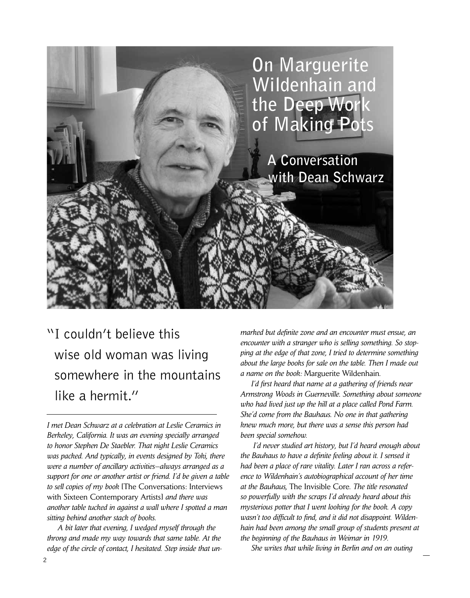

## "I couldn't believe this wise old woman was living somewhere in the mountains like a hermit."

*I met Dean Schwarz at a celebration at Leslie Ceramics in Berkeley, California. It was an evening specially arranged to honor Stephen De Staebler. That night Leslie Ceramics was packed. And typically, in events designed by Toki, there were a number of ancillary activities—always arranged as a support for one or another artist or friend. I'd be given a table to sell copies of my book* [The Conversations: Interviews with Sixteen Contemporary Artists] *and there was another table tucked in against a wall where I spotted a man sitting behind another stack of books.* 

 *A bit later that evening, I wedged myself through the throng and made my way towards that same table. At the edge of the circle of contact, I hesitated. Step inside that un-* *marked but definite zone and an encounter must ensue, an encounter with a stranger who is selling something. So stopping at the edge of that zone, I tried to determine something about the large books for sale on the table. Then I made out a name on the book:* Marguerite Wildenhain*.* 

 *I'd first heard that name at a gathering of friends near Armstrong Woods in Guerneville. Something about someone who had lived just up the hill at a place called Pond Farm. She'd come from the Bauhaus. No one in that gathering knew much more, but there was a sense this person had been special somehow.* 

 *I'd never studied art history, but I'd heard enough about the Bauhaus to have a definite feeling about it. I sensed it had been a place of rare vitality. Later I ran across a reference to Wildenhain's autobiographical account of her time at the Bauhaus,* The Invisible Core*. The title resonated so powerfully with the scraps I'd already heard about this mysterious potter that I went looking for the book. A copy wasn't too difficult to find, and it did not disappoint. Wildenhain had been among the small group of students present at the beginning of the Bauhaus in Weimar in 1919.* 

 *She writes that while living in Berlin and on an outing*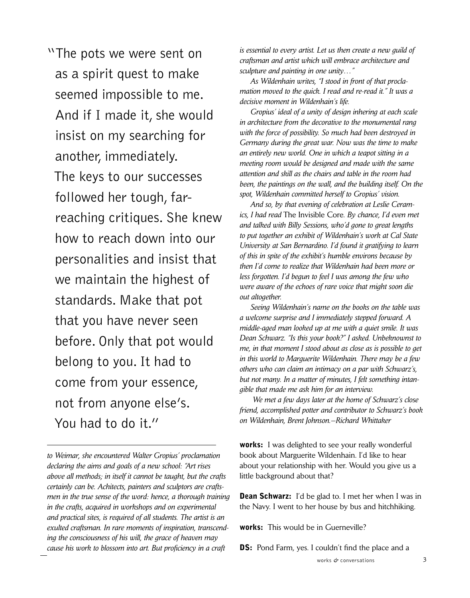"The pots we were sent on as a spirit quest to make seemed impossible to me. And if I made it, she would insist on my searching for another, immediately. The keys to our successes followed her tough, far reaching critiques. She knew how to reach down into our personalities and insist that we maintain the highest of standards. Make that pot that you have never seen before. Only that pot would belong to you. It had to come from your essence, not from anyone else's. You had to do it."

*to Weimar, she encountered Walter Gropius' proclamation declaring the aims and goals of a new school: "Art rises above all methods; in itself it cannot be taught, but the crafts certainly can be. Achitects, painters and sculptors are craftsmen in the true sense of the word: hence, a thorough training in the crafts, acquired in workshops and on experimental and practical sites, is required of all students. The artist is an exulted craftsman. In rare moments of inspiration, transcending the consciousness of his will, the grace of heaven may cause his work to blossom into art. But proficiency in a craft* 

*is essential to every artist. Let us then create a new guild of craftsman and artist which will embrace architecture and sculpture and painting in one unity…"* 

 *As Wildenhain writes, "I stood in front of that proclamation moved to the quick. I read and re-read it." It was a decisive moment in Wildenhain's life.* 

 *Gropius' ideal of a unity of design inhering at each scale in architecture from the decorative to the monumental rang with the force of possibility. So much had been destroyed in Germany during the great war. Now was the time to make an entirely new world. One in which a teapot sitting in a meeting room would be designed and made with the same attention and skill as the chairs and table in the room had been, the paintings on the wall, and the building itself. On the spot, Wildenhain committed herself to Gropius' vision.*

 *And so, by that evening of celebration at Leslie Ceramics, I had read* The Invisible Core*. By chance, I'd even met and talked with Billy Sessions, who'd gone to great lengths to put together an exhibit of Wildenhain's work at Cal State University at San Bernardino. I'd found it gratifying to learn of this in spite of the exhibit's humble environs because by then I'd come to realize that Wildenhain had been more or less forgotten. I'd begun to feel I was among the few who were aware of the echoes of rare voice that might soon die out altogether.* 

 *Seeing Wildenhain's name on the books on the table was a welcome surprise and I immediately stepped forward. A middle-aged man looked up at me with a quiet smile. It was Dean Schwarz. "Is this your book?" I asked. Unbeknownst to me, in that moment I stood about as close as is possible to get in this world to Marguerite Wildenhain. There may be a few others who can claim an intimacy on a par with Schwarz's, but not many. In a matter of minutes, I felt something intangible that made me ask him for an interview.* 

 *We met a few days later at the home of Schwarz's close friend, accomplished potter and contributor to Schwarz's book on Wildenhain, Brent Johnson.—Richard Whittaker* 

**works:** I was delighted to see your really wonderful book about Marguerite Wildenhain. I'd like to hear about your relationship with her. Would you give us a little background about that?

**Dean Schwarz:** I'd be glad to. I met her when I was in the Navy. I went to her house by bus and hitchhiking.

works: This would be in Guerneville?

**DS:** Pond Farm, yes. I couldn't find the place and a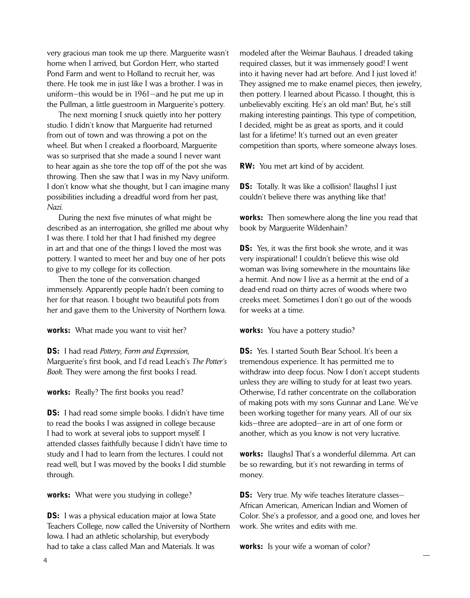very gracious man took me up there. Marguerite wasn't home when I arrived, but Gordon Herr, who started Pond Farm and went to Holland to recruit her, was there. He took me in just like I was a brother. I was in uniform—this would be in 1961—and he put me up in the Pullman, a little guestroom in Marguerite's pottery.

 The next morning I snuck quietly into her pottery studio. I didn't know that Marguerite had returned from out of town and was throwing a pot on the wheel. But when I creaked a floorboard, Marguerite was so surprised that she made a sound I never want to hear again as she tore the top off of the pot she was throwing. Then she saw that I was in my Navy uniform. I don't know what she thought, but I can imagine many possibilities including a dreadful word from her past, *Nazi*.

 During the next five minutes of what might be described as an interrogation, she grilled me about why I was there. I told her that I had finished my degree in art and that one of the things I loved the most was pottery. I wanted to meet her and buy one of her pots to give to my college for its collection.

 Then the tone of the conversation changed immensely. Apparently people hadn't been coming to her for that reason. I bought two beautiful pots from her and gave them to the University of Northern Iowa.

works: What made you want to visit her?

DS: I had read *Pottery, Form and Expression*, Marguerite's first book, and I'd read Leach's *The Potter's Book*. They were among the first books I read.

works: Really? The first books you read?

**DS:** I had read some simple books. I didn't have time to read the books I was assigned in college because I had to work at several jobs to support myself. I attended classes faithfully because I didn't have time to study and I had to learn from the lectures. I could not read well, but I was moved by the books I did stumble through.

**works:** What were you studying in college?

**DS:** I was a physical education major at Iowa State Teachers College, now called the University of Northern Iowa. I had an athletic scholarship, but everybody had to take a class called Man and Materials. It was

modeled after the Weimar Bauhaus. I dreaded taking required classes, but it was immensely good! I went into it having never had art before. And I just loved it! They assigned me to make enamel pieces, then jewelry, then pottery. I learned about Picasso. I thought, this is unbelievably exciting. He's an old man! But, he's still making interesting paintings. This type of competition, I decided, might be as great as sports, and it could last for a lifetime! It's turned out an even greater competition than sports, where someone always loses.

RW: You met art kind of by accident.

**DS:** Totally. It was like a collision! [laughs] I just couldn't believe there was anything like that!

**works:** Then somewhere along the line you read that book by Marguerite Wildenhain?

**DS:** Yes, it was the first book she wrote, and it was very inspirational! I couldn't believe this wise old woman was living somewhere in the mountains like a hermit. And now I live as a hermit at the end of a dead-end road on thirty acres of woods where two creeks meet. Sometimes I don't go out of the woods for weeks at a time.

works: You have a pottery studio?

**DS:** Yes. I started South Bear School. It's been a tremendous experience. It has permitted me to withdraw into deep focus. Now I don't accept students unless they are willing to study for at least two years. Otherwise, I'd rather concentrate on the collaboration of making pots with my sons Gunnar and Lane. We've been working together for many years. All of our six kids—three are adopted—are in art of one form or another, which as you know is not very lucrative.

works: [laughs] That's a wonderful dilemma. Art can be so rewarding, but it's not rewarding in terms of money.

**DS:** Very true. My wife teaches literature classes-African American, American Indian and Women of Color. She's a professor, and a good one, and loves her work. She writes and edits with me.

works: Is your wife a woman of color?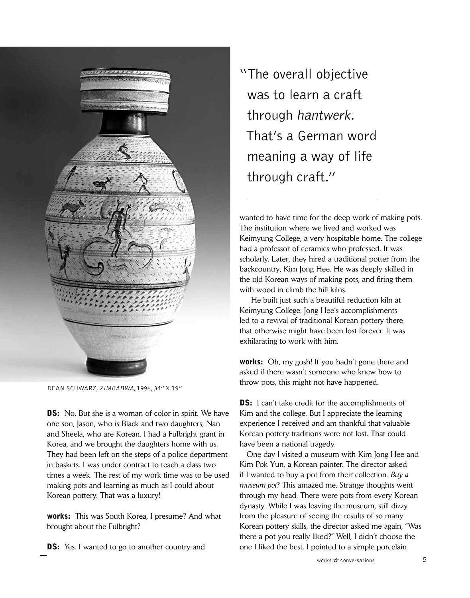

Dean Schwarz, Zimbabwa, 1996, 34" x 19"

**DS:** No. But she is a woman of color in spirit. We have one son, Jason, who is Black and two daughters, Nan and Sheela, who are Korean. I had a Fulbright grant in Korea, and we brought the daughters home with us. They had been left on the steps of a police department in baskets. I was under contract to teach a class two times a week. The rest of my work time was to be used making pots and learning as much as I could about Korean pottery. That was a luxury!

works: This was South Korea, I presume? And what brought about the Fulbright?

**DS:** Yes. I wanted to go to another country and

"The overall objective was to learn a craft through hantwerk. That's a German word meaning a way of life through craft."

wanted to have time for the deep work of making pots. The institution where we lived and worked was Keimyung College, a very hospitable home. The college had a professor of ceramics who professed. It was scholarly. Later, they hired a traditional potter from the backcountry, Kim Jong Hee. He was deeply skilled in the old Korean ways of making pots, and firing them with wood in climb-the-hill kilns.

 He built just such a beautiful reduction kiln at Keimyung College. Jong Hee's accomplishments led to a revival of traditional Korean pottery there that otherwise might have been lost forever. It was exhilarating to work with him.

works: Oh, my gosh! If you hadn't gone there and asked if there wasn't someone who knew how to throw pots, this might not have happened.

**DS:** I can't take credit for the accomplishments of Kim and the college. But I appreciate the learning experience I received and am thankful that valuable Korean pottery traditions were not lost. That could have been a national tragedy.

 One day I visited a museum with Kim Jong Hee and Kim Pok Yun, a Korean painter. The director asked if I wanted to buy a pot from their collection. *Buy a museum pot*? This amazed me. Strange thoughts went through my head. There were pots from every Korean dynasty. While I was leaving the museum, still dizzy from the pleasure of seeing the results of so many Korean pottery skills, the director asked me again, "Was there a pot you really liked?" Well, I didn't choose the one I liked the best. I pointed to a simple porcelain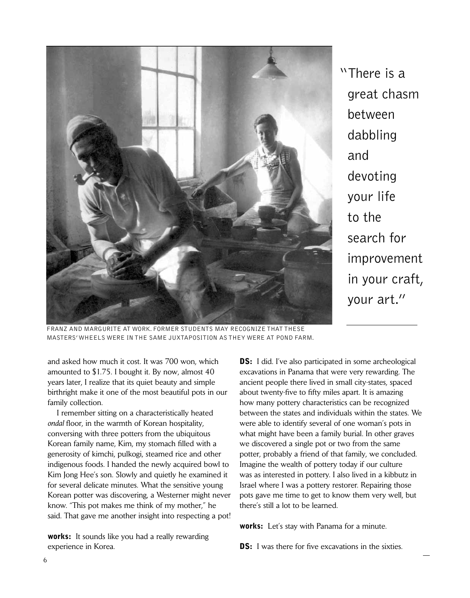

"There is a great chasm between dabbling and devoting your life to the search for improvement in your craft, your art."

Franz and Margurite at work. Former students may recognize that these masters' wheels were in the same juxtaposition as they were at pond farm.

and asked how much it cost. It was 700 won, which amounted to \$1.75. I bought it. By now, almost 40 years later, I realize that its quiet beauty and simple birthright make it one of the most beautiful pots in our family collection.

 I remember sitting on a characteristically heated *ondal* floor, in the warmth of Korean hospitality, conversing with three potters from the ubiquitous Korean family name, Kim, my stomach filled with a generosity of kimchi, pulkogi, steamed rice and other indigenous foods. I handed the newly acquired bowl to Kim Jong Hee's son. Slowly and quietly he examined it for several delicate minutes. What the sensitive young Korean potter was discovering, a Westerner might never know. "This pot makes me think of my mother," he said. That gave me another insight into respecting a pot!

works: It sounds like you had a really rewarding experience in Korea.

**DS:** I did. I've also participated in some archeological excavations in Panama that were very rewarding. The ancient people there lived in small city-states, spaced about twenty-five to fifty miles apart. It is amazing how many pottery characteristics can be recognized between the states and individuals within the states. We were able to identify several of one woman's pots in what might have been a family burial. In other graves we discovered a single pot or two from the same potter, probably a friend of that family, we concluded. Imagine the wealth of pottery today if our culture was as interested in pottery. I also lived in a kibbutz in Israel where I was a pottery restorer. Repairing those pots gave me time to get to know them very well, but there's still a lot to be learned.

**works:** Let's stay with Panama for a minute.

**DS:** I was there for five excavations in the sixties.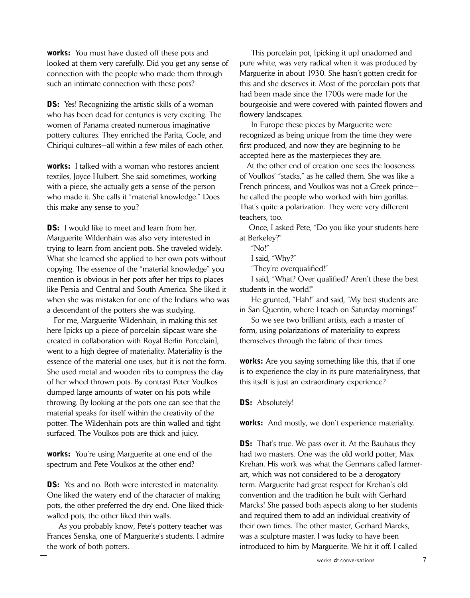**works:** You must have dusted off these pots and looked at them very carefully. Did you get any sense of connection with the people who made them through such an intimate connection with these pots?

**DS:** Yes! Recognizing the artistic skills of a woman who has been dead for centuries is very exciting. The women of Panama created numerous imaginative pottery cultures. They enriched the Parita, Cocle, and Chiriqui cultures—all within a few miles of each other.

works: I talked with a woman who restores ancient textiles, Joyce Hulbert. She said sometimes, working with a piece, she actually gets a sense of the person who made it. She calls it "material knowledge." Does this make any sense to you?

**DS:** I would like to meet and learn from her. Marguerite Wildenhain was also very interested in trying to learn from ancient pots. She traveled widely. What she learned she applied to her own pots without copying. The essence of the "material knowledge" you mention is obvious in her pots after her trips to places like Persia and Central and South America. She liked it when she was mistaken for one of the Indians who was a descendant of the potters she was studying.

 For me, Marguerite Wildenhain, in making this set here [picks up a piece of porcelain slipcast ware she created in collaboration with Royal Berlin Porcelain], went to a high degree of materiality. Materiality is the essence of the material one uses, but it is not the form. She used metal and wooden ribs to compress the clay of her wheel-thrown pots. By contrast Peter Voulkos dumped large amounts of water on his pots while throwing. By looking at the pots one can see that the material speaks for itself within the creativity of the potter. The Wildenhain pots are thin walled and tight surfaced. The Voulkos pots are thick and juicy.

**works:** You're using Marguerite at one end of the spectrum and Pete Voulkos at the other end?

**DS:** Yes and no. Both were interested in materiality. One liked the watery end of the character of making pots, the other preferred the dry end. One liked thickwalled pots, the other liked thin walls.

 As you probably know, Pete's pottery teacher was Frances Senska, one of Marguerite's students. I admire the work of both potters.

 This porcelain pot, [picking it up] unadorned and pure white, was very radical when it was produced by Marguerite in about 1930. She hasn't gotten credit for this and she deserves it. Most of the porcelain pots that had been made since the 1700s were made for the bourgeoisie and were covered with painted flowers and flowery landscapes.

 In Europe these pieces by Marguerite were recognized as being unique from the time they were first produced, and now they are beginning to be accepted here as the masterpieces they are.

 At the other end of creation one sees the looseness of Voulkos' "stacks," as he called them. She was like a French princess, and Voulkos was not a Greek prince he called the people who worked with him gorillas. That's quite a polarization. They were very different teachers, too.

 Once, I asked Pete, "Do you like your students here at Berkeley?"

"No!"

I said, "Why?"

"They're overqualified!"

 I said, "What? Over qualified? Aren't these the best students in the world!"

 He grunted, "Hah!" and said, "My best students are in San Quentin, where I teach on Saturday mornings!"

 So we see two brilliant artists, each a master of form, using polarizations of materiality to express themselves through the fabric of their times.

works: Are you saying something like this, that if one is to experience the clay in its pure materialityness, that this itself is just an extraordinary experience?

**DS:** Absolutely!

works: And mostly, we don't experience materiality.

**DS:** That's true. We pass over it. At the Bauhaus they had two masters. One was the old world potter, Max Krehan. His work was what the Germans called farmerart, which was not considered to be a derogatory term. Marguerite had great respect for Krehan's old convention and the tradition he built with Gerhard Marcks! She passed both aspects along to her students and required them to add an individual creativity of their own times. The other master, Gerhard Marcks, was a sculpture master. I was lucky to have been introduced to him by Marguerite. We hit it off. I called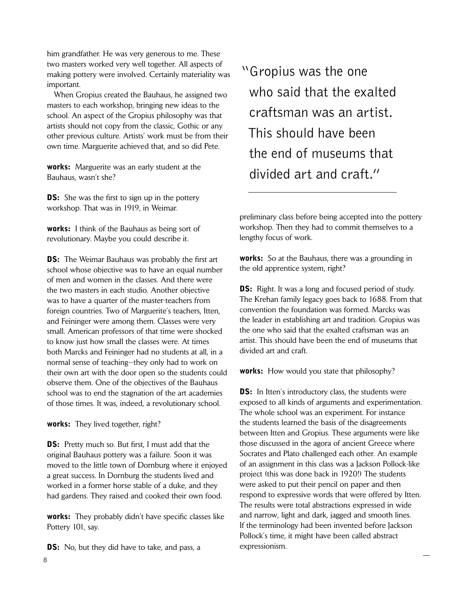him grandfather. He was very generous to me. These two masters worked very well together. All aspects of making pottery were involved. Certainly materiality was important.

 When Gropius created the Bauhaus, he assigned two masters to each workshop, bringing new ideas to the school. An aspect of the Gropius philosophy was that artists should not copy from the classic, Gothic or any other previous culture. Artists' work must be from their own time. Marguerite achieved that, and so did Pete.

works: Marguerite was an early student at the Bauhaus, wasn't she?

**DS:** She was the first to sign up in the pottery workshop. That was in 1919, in Weimar.

works: I think of the Bauhaus as being sort of revolutionary. Maybe you could describe it.

**DS:** The Weimar Bauhaus was probably the first art school whose objective was to have an equal number of men and women in the classes. And there were the two masters in each studio. Another objective was to have a quarter of the master-teachers from foreign countries. Two of Marguerite's teachers, Itten, and Feininger were among them. Classes were very small. American professors of that time were shocked to know just how small the classes were. At times both Marcks and Feininger had no students at all, in a normal sense of teaching—they only had to work on their own art with the door open so the students could observe them. One of the objectives of the Bauhaus school was to end the stagnation of the art academies of those times. It was, indeed, a revolutionary school.

works: They lived together, right?

**DS:** Pretty much so. But first, I must add that the original Bauhaus pottery was a failure. Soon it was moved to the little town of Dornburg where it enjoyed a great success. In Dornburg the students lived and worked in a former horse stable of a duke, and they had gardens. They raised and cooked their own food.

works: They probably didn't have specific classes like Pottery 101, say.

**DS:** No, but they did have to take, and pass, a

"Gropius was the one who said that the exalted craftsman was an artist. This should have been the end of museums that divided art and craft."

preliminary class before being accepted into the pottery workshop. Then they had to commit themselves to a lengthy focus of work.

**works:** So at the Bauhaus, there was a grounding in the old apprentice system, right?

**DS:** Right. It was a long and focused period of study. The Krehan family legacy goes back to 1688. From that convention the foundation was formed. Marcks was the leader in establishing art and tradition. Gropius was the one who said that the exalted craftsman was an artist. This should have been the end of museums that divided art and craft.

works: How would you state that philosophy?

**DS:** In Itten's introductory class, the students were exposed to all kinds of arguments and experimentation. The whole school was an experiment. For instance the students learned the basis of the disagreements between Itten and Gropius. These arguments were like those discussed in the agora of ancient Greece where Socrates and Plato challenged each other. An example of an assignment in this class was a Jackson Pollock-like project (this was done back in 1920!) The students were asked to put their pencil on paper and then respond to expressive words that were offered by Itten. The results were total abstractions expressed in wide and narrow, light and dark, jagged and smooth lines. If the terminology had been invented before Jackson Pollock's time, it might have been called abstract expressionism.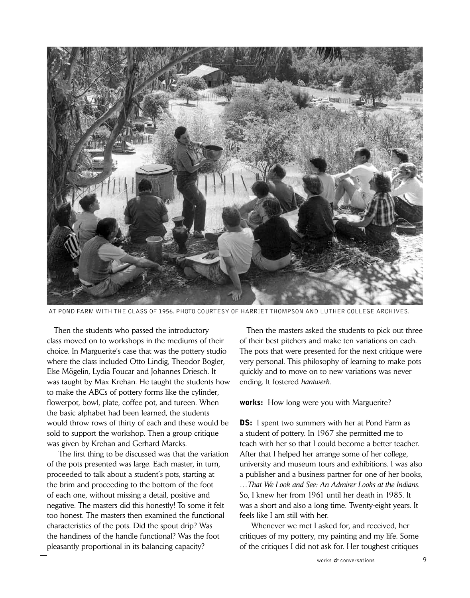

at Pond Farm with the class of 1956. photo courtesy of harriet thompson and Luther college archives.

 Then the students who passed the introductory class moved on to workshops in the mediums of their choice. In Marguerite's case that was the pottery studio where the class included Otto Lindig, Theodor Bogler, Else Mögelin, Lydia Foucar and Johannes Driesch. It was taught by Max Krehan. He taught the students how to make the ABCs of pottery forms like the cylinder, flowerpot, bowl, plate, coffee pot, and tureen. When the basic alphabet had been learned, the students would throw rows of thirty of each and these would be sold to support the workshop. Then a group critique was given by Krehan and Gerhard Marcks.

 The first thing to be discussed was that the variation of the pots presented was large. Each master, in turn, proceeded to talk about a student's pots, starting at the brim and proceeding to the bottom of the foot of each one, without missing a detail, positive and negative. The masters did this honestly! To some it felt too honest. The masters then examined the functional characteristics of the pots. Did the spout drip? Was the handiness of the handle functional? Was the foot pleasantly proportional in its balancing capacity?

 Then the masters asked the students to pick out three of their best pitchers and make ten variations on each. The pots that were presented for the next critique were very personal. This philosophy of learning to make pots quickly and to move on to new variations was never ending. It fostered *hantwerk*.

**works:** How long were you with Marguerite?

**DS:** I spent two summers with her at Pond Farm as a student of pottery. In 1967 she permitted me to teach with her so that I could become a better teacher. After that I helped her arrange some of her college, university and museum tours and exhibitions. I was also a publisher and a business partner for one of her books, …*That We Look and See: An Admirer Looks at the Indians*. So, I knew her from 1961 until her death in 1985. It was a short and also a long time. Twenty-eight years. It feels like I am still with her.

 Whenever we met I asked for, and received, her critiques of my pottery, my painting and my life. Some of the critiques I did not ask for. Her toughest critiques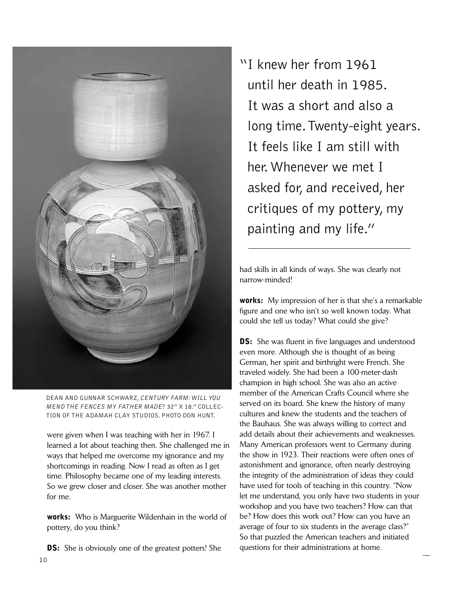

Dean and Gunnar Schwarz, Century Farm: Will you mend the fences my father made? 32" x 18." Collection of the adamah clay studios. Photo don hunt.

were given when I was teaching with her in 1967. I learned a lot about teaching then. She challenged me in ways that helped me overcome my ignorance and my shortcomings in reading. Now I read as often as I get time. Philosophy became one of my leading interests. So we grew closer and closer. She was another mother for me.

works: Who is Marguerite Wildenhain in the world of pottery, do you think?

**DS:** She is obviously one of the greatest potters! She

"I knew her from 1961 until her death in 1985. It was a short and also a long time. Twenty-eight years. It feels like I am still with her. Whenever we met I asked for, and received, her critiques of my pottery, my painting and my life."

had skills in all kinds of ways. She was clearly not narrow-minded!

works: My impression of her is that she's a remarkable figure and one who isn't so well known today. What could she tell us today? What could she give?

**DS:** She was fluent in five languages and understood even more. Although she is thought of as being German, her spirit and birthright were French. She traveled widely. She had been a 100-meter-dash champion in high school. She was also an active member of the American Crafts Council where she served on its board. She knew the history of many cultures and knew the students and the teachers of the Bauhaus. She was always willing to correct and add details about their achievements and weaknesses. Many American professors went to Germany during the show in 1923. Their reactions were often ones of astonishment and ignorance, often nearly destroying the integrity of the administration of ideas they could have used for tools of teaching in this country. "Now let me understand, you only have two students in your workshop and you have two teachers? How can that be? How does this work out? How can you have an average of four to six students in the average class?" So that puzzled the American teachers and initiated questions for their administrations at home.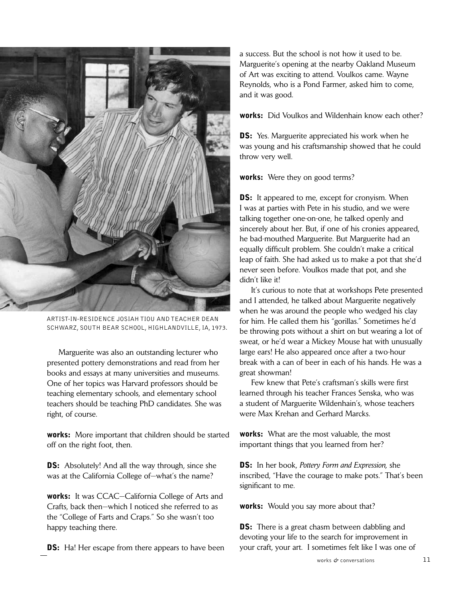

Artist-in-residence Josiah Tiou and teacher Dean Schwarz, South Bear School, Highlandville, Ia, 1973.

 Marguerite was also an outstanding lecturer who presented pottery demonstrations and read from her books and essays at many universities and museums. One of her topics was Harvard professors should be teaching elementary schools, and elementary school teachers should be teaching PhD candidates. She was right, of course.

works: More important that children should be started off on the right foot, then.

**DS:** Absolutely! And all the way through, since she was at the California College of—what's the name?

works: It was CCAC—California College of Arts and Crafts, back then—which I noticed she referred to as the "College of Farts and Craps." So she wasn't too happy teaching there.

**DS:** Ha! Her escape from there appears to have been

a success. But the school is not how it used to be. Marguerite's opening at the nearby Oakland Museum of Art was exciting to attend. Voulkos came. Wayne Reynolds, who is a Pond Farmer, asked him to come, and it was good.

works: Did Voulkos and Wildenhain know each other?

**DS:** Yes. Marguerite appreciated his work when he was young and his craftsmanship showed that he could throw very well.

works: Were they on good terms?

**DS:** It appeared to me, except for cronyism. When I was at parties with Pete in his studio, and we were talking together one-on-one, he talked openly and sincerely about her. But, if one of his cronies appeared, he bad-mouthed Marguerite. But Marguerite had an equally difficult problem. She couldn't make a critical leap of faith. She had asked us to make a pot that she'd never seen before. Voulkos made that pot, and she didn't like it!

 It's curious to note that at workshops Pete presented and I attended, he talked about Marguerite negatively when he was around the people who wedged his clay for him. He called them his "gorillas." Sometimes he'd be throwing pots without a shirt on but wearing a lot of sweat, or he'd wear a Mickey Mouse hat with unusually large ears! He also appeared once after a two-hour break with a can of beer in each of his hands. He was a great showman!

 Few knew that Pete's craftsman's skills were first learned through his teacher Frances Senska, who was a student of Marguerite Wildenhain's, whose teachers were Max Krehan and Gerhard Marcks.

works: What are the most valuable, the most important things that you learned from her?

DS: In her book, *Pottery Form and Expression,* she inscribed, "Have the courage to make pots." That's been significant to me.

**works:** Would you say more about that?

**DS:** There is a great chasm between dabbling and devoting your life to the search for improvement in your craft, your art. I sometimes felt like I was one of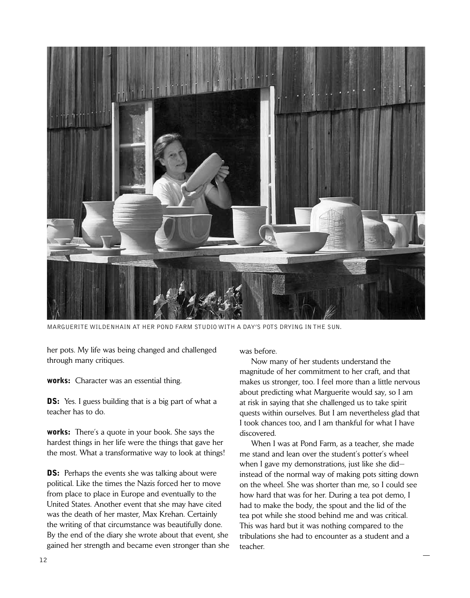

Marguerite Wildenhain at her Pond Farm studio with a day's pots drying in the sun.

her pots. My life was being changed and challenged through many critiques.

works: Character was an essential thing.

**DS:** Yes. I guess building that is a big part of what a teacher has to do.

works: There's a quote in your book. She says the hardest things in her life were the things that gave her the most. What a transformative way to look at things!

**DS:** Perhaps the events she was talking about were political. Like the times the Nazis forced her to move from place to place in Europe and eventually to the United States. Another event that she may have cited was the death of her master, Max Krehan. Certainly the writing of that circumstance was beautifully done. By the end of the diary she wrote about that event, she gained her strength and became even stronger than she was before.

 Now many of her students understand the magnitude of her commitment to her craft, and that makes us stronger, too. I feel more than a little nervous about predicting what Marguerite would say, so I am at risk in saying that she challenged us to take spirit quests within ourselves. But I am nevertheless glad that I took chances too, and I am thankful for what I have discovered.

 When I was at Pond Farm, as a teacher, she made me stand and lean over the student's potter's wheel when I gave my demonstrations, just like she did instead of the normal way of making pots sitting down on the wheel. She was shorter than me, so I could see how hard that was for her. During a tea pot demo, I had to make the body, the spout and the lid of the tea pot while she stood behind me and was critical. This was hard but it was nothing compared to the tribulations she had to encounter as a student and a teacher.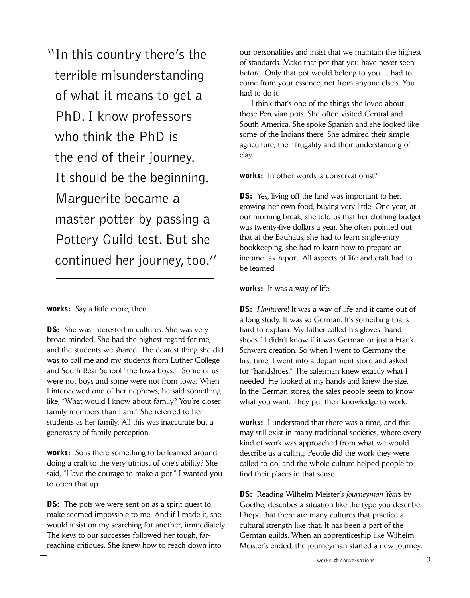"In this country there's the terrible misunderstanding of what it means to get a PhD. I know professors who think the PhD is the end of their journey. It should be the beginning. Marguerite became a master potter by passing a Pottery Guild test. But she continued her journey, too."

works: Say a little more, then.

**DS:** She was interested in cultures. She was very broad minded. She had the highest regard for me, and the students we shared. The dearest thing she did was to call me and my students from Luther College and South Bear School "the Iowa boys." Some of us were not boys and some were not from Iowa. When I interviewed one of her nephews, he said something like, "What would I know about family? You're closer family members than I am." She referred to her students as her family. All this was inaccurate but a generosity of family perception.

works: So is there something to be learned around doing a craft to the very utmost of one's ability? She said, "Have the courage to make a pot." I wanted you to open that up.

**DS:** The pots we were sent on as a spirit quest to make seemed impossible to me. And if I made it, she would insist on my searching for another, immediately. The keys to our successes followed her tough, farreaching critiques. She knew how to reach down into

our personalities and insist that we maintain the highest of standards. Make that pot that you have never seen before. Only that pot would belong to you. It had to come from your essence, not from anyone else's. You had to do it.

 I think that's one of the things she loved about those Peruvian pots. She often visited Central and South America. She spoke Spanish and she looked like some of the Indians there. She admired their simple agriculture, their frugality and their understanding of clay.

works: In other words, a conservationist?

**DS:** Yes, living off the land was important to her, growing her own food, buying very little. One year, at our morning break, she told us that her clothing budget was twenty-five dollars a year. She often pointed out that at the Bauhaus, she had to learn single-entry bookkeeping, she had to learn how to prepare an income tax report. All aspects of life and craft had to be learned.

works: It was a way of life.

**DS:** *Hantwerk*! It was a way of life and it came out of a long study. It was so German. It's something that's hard to explain. My father called his gloves "handshoes." I didn't know if it was German or just a Frank Schwarz creation. So when I went to Germany the first time, I went into a department store and asked for "handshoes." The salesman knew exactly what I needed. He looked at my hands and knew the size. In the German stores, the sales people seem to know what you want. They put their knowledge to work.

works: I understand that there was a time, and this may still exist in many traditional societies, where every kind of work was approached from what we would describe as a calling. People did the work they were called to do, and the whole culture helped people to find their places in that sense.

DS: Reading Wilhelm Meister's *Journeyman Years* by Goethe, describes a situation like the type you describe. I hope that there are many cultures that practice a cultural strength like that. It has been a part of the German guilds. When an apprenticeship like Wilhelm Meister's ended, the journeyman started a new journey.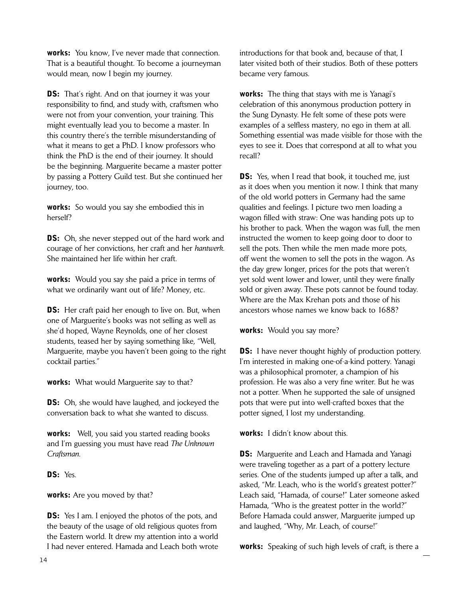works: You know, I've never made that connection. That is a beautiful thought. To become a journeyman would mean, now I begin my journey.

**DS:** That's right. And on that journey it was your responsibility to find, and study with, craftsmen who were not from your convention, your training. This might eventually lead you to become a master. In this country there's the terrible misunderstanding of what it means to get a PhD. I know professors who think the PhD is the end of their journey. It should be the beginning. Marguerite became a master potter by passing a Pottery Guild test. But she continued her journey, too.

**works:** So would you say she embodied this in herself?

**DS:** Oh, she never stepped out of the hard work and courage of her convictions, her craft and her *hantwerk*. She maintained her life within her craft.

works: Would you say she paid a price in terms of what we ordinarily want out of life? Money, etc.

**DS:** Her craft paid her enough to live on. But, when one of Marguerite's books was not selling as well as she'd hoped, Wayne Reynolds, one of her closest students, teased her by saying something like, "Well, Marguerite, maybe you haven't been going to the right cocktail parties."

**works:** What would Marguerite say to that?

**DS:** Oh, she would have laughed, and jockeyed the conversation back to what she wanted to discuss.

works: Well, you said you started reading books and I'm guessing you must have read *The Unknown Craftsman*.

DS: Yes.

works: Are you moved by that?

**DS:** Yes I am. I enjoyed the photos of the pots, and the beauty of the usage of old religious quotes from the Eastern world. It drew my attention into a world I had never entered. Hamada and Leach both wrote introductions for that book and, because of that, I later visited both of their studios. Both of these potters became very famous.

works: The thing that stays with me is Yanagi's celebration of this anonymous production pottery in the Sung Dynasty. He felt some of these pots were examples of a selfless mastery, no ego in them at all. Something essential was made visible for those with the eyes to see it. Does that correspond at all to what you recall?

**DS:** Yes, when I read that book, it touched me, just as it does when you mention it now. I think that many of the old world potters in Germany had the same qualities and feelings. I picture two men loading a wagon filled with straw: One was handing pots up to his brother to pack. When the wagon was full, the men instructed the women to keep going door to door to sell the pots. Then while the men made more pots, off went the women to sell the pots in the wagon. As the day grew longer, prices for the pots that weren't yet sold went lower and lower, until they were finally sold or given away. These pots cannot be found today. Where are the Max Krehan pots and those of his ancestors whose names we know back to 1688?

works: Would you say more?

**DS:** I have never thought highly of production pottery. I'm interested in making one-of-a-kind pottery. Yanagi was a philosophical promoter, a champion of his profession. He was also a very fine writer. But he was not a potter. When he supported the sale of unsigned pots that were put into well-crafted boxes that the potter signed, I lost my understanding.

works: I didn't know about this.

**DS:** Marguerite and Leach and Hamada and Yanagi were traveling together as a part of a pottery lecture series. One of the students jumped up after a talk, and asked, "Mr. Leach, who is the world's greatest potter?" Leach said, "Hamada, of course!" Later someone asked Hamada, "Who is the greatest potter in the world?" Before Hamada could answer, Marguerite jumped up and laughed, "Why, Mr. Leach, of course!"

works: Speaking of such high levels of craft, is there a